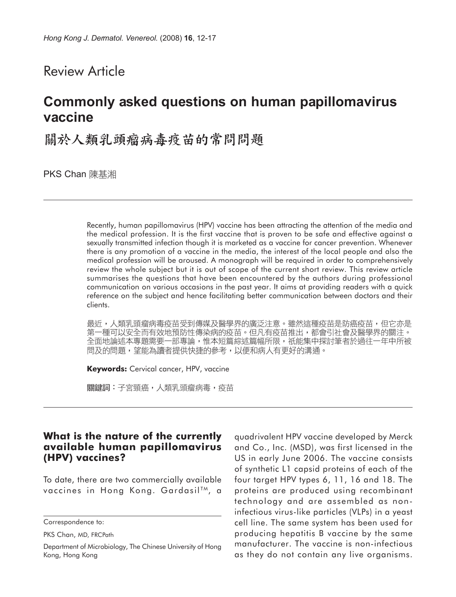## Review Article

# **Commonly asked questions on human papillomavirus vaccine**

關於人類乳頭瘤病毒疫苗的常問問題

**PKS Chan** 陳基湘

Recently, human papillomavirus (HPV) vaccine has been attracting the attention of the media and the medical profession. It is the first vaccine that is proven to be safe and effective against a sexually transmitted infection though it is marketed as a vaccine for cancer prevention. Whenever there is any promotion of a vaccine in the media, the interest of the local people and also the medical profession will be aroused. A monograph will be required in order to comprehensively review the whole subject but it is out of scope of the current short review. This review article summarises the questions that have been encountered by the authors during professional communication on various occasions in the past year. It aims at providing readers with a quick reference on the subject and hence facilitating better communication between doctors and their clients.

最近,人類乳頭瘤病毒疫苗受到傳媒及醫學界的廣泛注意。雖然這種疫苗是防癌疫苗,但它亦是 第一種可以安全而有效地預防性傳染病的疫苗。但凡有疫苗推出,都會引社會及醫學界的關注。 全面地論述本專題需要一部專論,惟本短篇綜述篇幅所限,祇能集中探討筆者於過往一年中所被 問及的問題,望能為讀者提供快捷的參考,以便和病人有更好的溝通。

**Keywords:** Cervical cancer, HPV, vaccine

關鍵詞:子宮頸癌,人類乳頭瘤病毒,疫苗

#### **What is the nature of the currently available human papillomavirus (HPV) vaccines?**

To date, there are two commercially available vaccines in Hong Kong. Gardasil<sup>TM</sup>, a quadrivalent HPV vaccine developed by Merck and Co., Inc. (MSD), was first licensed in the US in early June 2006. The vaccine consists of synthetic L1 capsid proteins of each of the four target HPV types 6, 11, 16 and 18. The proteins are produced using recombinant technology and are assembled as noninfectious virus-like particles (VLPs) in a yeast cell line. The same system has been used for producing hepatitis B vaccine by the same manufacturer. The vaccine is non-infectious as they do not contain any live organisms.

Correspondence to:

PKS Chan, MD, FRCPath

Department of Microbiology, The Chinese University of Hong Kong, Hong Kong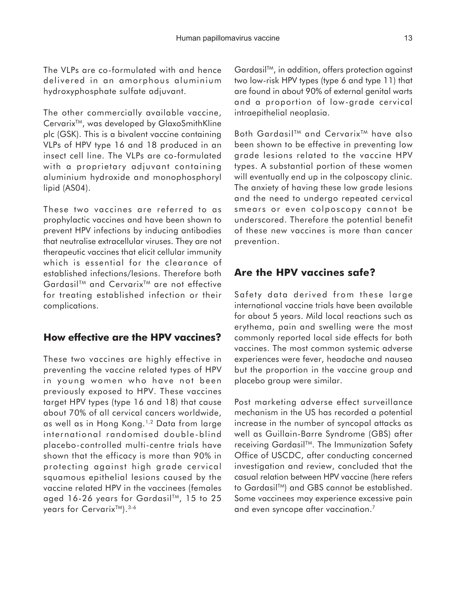The VLPs are co-formulated with and hence delivered in an amorphous aluminium hydroxyphosphate sulfate adjuvant.

The other commercially available vaccine, Cervarix<sup>™</sup>, was developed by GlaxoSmithKline plc (GSK). This is a bivalent vaccine containing VLPs of HPV type 16 and 18 produced in an insect cell line. The VLPs are co-formulated with a proprietary adjuvant containing aluminium hydroxide and monophosphoryl lipid (AS04).

These two vaccines are referred to as prophylactic vaccines and have been shown to prevent HPV infections by inducing antibodies that neutralise extracellular viruses. They are not therapeutic vaccines that elicit cellular immunity which is essential for the clearance of established infections/lesions. Therefore both Gardasil<sup>™</sup> and Cervarix<sup>™</sup> are not effective for treating established infection or their complications.

## **How effective are the HPV vaccines?**

These two vaccines are highly effective in preventing the vaccine related types of HPV in young women who have not been previously exposed to HPV. These vaccines target HPV types (type 16 and 18) that cause about 70% of all cervical cancers worldwide, as well as in Hong Kong.1,2 Data from large international randomised double-blind placebo-controlled multi-centre trials have shown that the efficacy is more than 90% in protecting against high grade cervical squamous epithelial lesions caused by the vaccine related HPV in the vaccinees (females aged 16-26 years for Gardasil<sup>TM</sup>, 15 to 25 years for CervarixTM).3-6

GardasilTM, in addition, offers protection against two low-risk HPV types (type 6 and type 11) that are found in about 90% of external genital warts and a proportion of low-grade cervical intraepithelial neoplasia.

Both Gardasil<sup>™</sup> and Cervarix<sup>™</sup> have also been shown to be effective in preventing low grade lesions related to the vaccine HPV types. A substantial portion of these women will eventually end up in the colposcopy clinic. The anxiety of having these low grade lesions and the need to undergo repeated cervical smears or even colposcopy cannot be underscored. Therefore the potential benefit of these new vaccines is more than cancer prevention.

## **Are the HPV vaccines safe?**

Safety data derived from these large international vaccine trials have been available for about 5 years. Mild local reactions such as erythema, pain and swelling were the most commonly reported local side effects for both vaccines. The most common systemic adverse experiences were fever, headache and nausea but the proportion in the vaccine group and placebo group were similar.

Post marketing adverse effect surveillance mechanism in the US has recorded a potential increase in the number of syncopal attacks as well as Guillain-Barre Syndrome (GBS) after receiving Gardasil<sup>™</sup>. The Immunization Safety Office of USCDC, after conducting concerned investigation and review, concluded that the casual relation between HPV vaccine (here refers to Gardasil™) and GBS cannot be established. Some vaccinees may experience excessive pain and even syncope after vaccination.<sup>7</sup>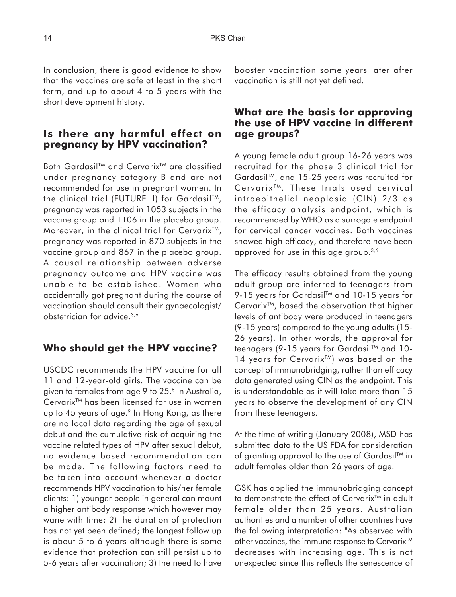In conclusion, there is good evidence to show that the vaccines are safe at least in the short term, and up to about 4 to 5 years with the short development history.

## **Is there any harmful effect on pregnancy by HPV vaccination?**

Both Gardasil™ and Cervarix<sup>™</sup> are classified under pregnancy category B and are not recommended for use in pregnant women. In the clinical trial (FUTURE II) for Gardasil™, pregnancy was reported in 1053 subjects in the vaccine group and 1106 in the placebo group. Moreover, in the clinical trial for Cervarix<sup>TM</sup>, pregnancy was reported in 870 subjects in the vaccine group and 867 in the placebo group. A causal relationship between adverse pregnancy outcome and HPV vaccine was unable to be established. Women who accidentally got pregnant during the course of vaccination should consult their gynaecologist/ obstetrician for advice.3,6

#### **Who should get the HPV vaccine?**

USCDC recommends the HPV vaccine for all 11 and 12-year-old girls. The vaccine can be given to females from age 9 to 25.<sup>8</sup> In Australia, Cervarix<sup>™</sup> has been licensed for use in women up to 45 years of age.<sup>9</sup> In Hong Kong, as there are no local data regarding the age of sexual debut and the cumulative risk of acquiring the vaccine related types of HPV after sexual debut, no evidence based recommendation can be made. The following factors need to be taken into account whenever a doctor recommends HPV vaccination to his/her female clients: 1) younger people in general can mount a higher antibody response which however may wane with time; 2) the duration of protection has not yet been defined; the longest follow up is about 5 to 6 years although there is some evidence that protection can still persist up to 5-6 years after vaccination; 3) the need to have booster vaccination some years later after vaccination is still not yet defined.

#### **What are the basis for approving the use of HPV vaccine in different age groups?**

A young female adult group 16-26 years was recruited for the phase 3 clinical trial for GardasilTM, and 15-25 years was recruited for Cervarix<sup>TM</sup>. These trials used cervical intraepithelial neoplasia (CIN) 2/3 as the efficacy analysis endpoint, which is recommended by WHO as a surrogate endpoint for cervical cancer vaccines. Both vaccines showed high efficacy, and therefore have been approved for use in this age group.<sup>3,6</sup>

The efficacy results obtained from the young adult group are inferred to teenagers from 9-15 years for Gardasil™ and 10-15 years for Cervarix<sup>™</sup>, based the observation that higher levels of antibody were produced in teenagers (9-15 years) compared to the young adults (15- 26 years). In other words, the approval for teenagers (9-15 years for Gardasil™ and 10-14 years for Cervarix<sup>™</sup>) was based on the concept of immunobridging, rather than efficacy data generated using CIN as the endpoint. This is understandable as it will take more than 15 years to observe the development of any CIN from these teenagers.

At the time of writing (January 2008), MSD has submitted data to the US FDA for consideration of granting approval to the use of Gardasil<sup>TM</sup> in adult females older than 26 years of age.

GSK has applied the immunobridging concept to demonstrate the effect of Cervarix<sup>™</sup> in adult female older than 25 years. Australian authorities and a number of other countries have the following interpretation: "As observed with other vaccines, the immune response to Cervarix<sup>™</sup> decreases with increasing age. This is not unexpected since this reflects the senescence of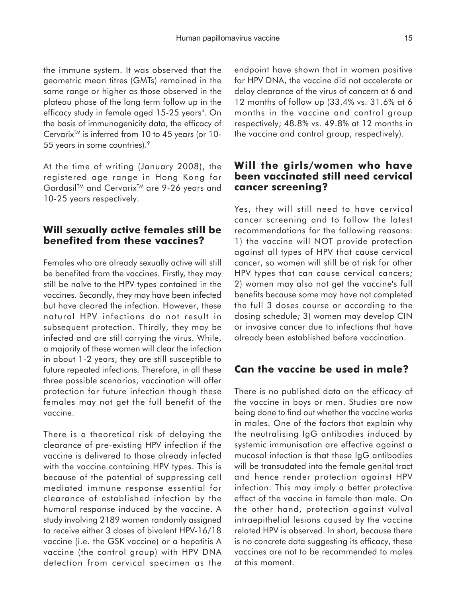the immune system. It was observed that the geometric mean titres (GMTs) remained in the same range or higher as those observed in the plateau phase of the long term follow up in the efficacy study in female aged 15-25 years". On the basis of immunogenicity data, the efficacy of Cervarix<sup>TM</sup> is inferred from 10 to 45 years (or 10-55 years in some countries).9

At the time of writing (January 2008), the registered age range in Hong Kong for Gardasil™ and Cervarix<sup>™</sup> are 9-26 years and 10-25 years respectively.

#### **Will sexually active females still be benefited from these vaccines?**

Females who are already sexually active will still be benefited from the vaccines. Firstly, they may still be naïve to the HPV types contained in the vaccines. Secondly, they may have been infected but have cleared the infection. However, these natural HPV infections do not result in subsequent protection. Thirdly, they may be infected and are still carrying the virus. While, a majority of these women will clear the infection in about 1-2 years, they are still susceptible to future repeated infections. Therefore, in all these three possible scenarios, vaccination will offer protection for future infection though these females may not get the full benefit of the vaccine.

There is a theoretical risk of delaying the clearance of pre-existing HPV infection if the vaccine is delivered to those already infected with the vaccine containing HPV types. This is because of the potential of suppressing cell mediated immune response essential for clearance of established infection by the humoral response induced by the vaccine. A study involving 2189 women randomly assigned to receive either 3 doses of bivalent HPV-16/18 vaccine (i.e. the GSK vaccine) or a hepatitis A vaccine (the control group) with HPV DNA detection from cervical specimen as the endpoint have shown that in women positive for HPV DNA, the vaccine did not accelerate or delay clearance of the virus of concern at 6 and 12 months of follow up (33.4% vs. 31.6% at 6 months in the vaccine and control group respectively; 48.8% vs. 49.8% at 12 months in the vaccine and control group, respectively).

#### **Will the girls/women who have been vaccinated still need cervical cancer screening?**

Yes, they will still need to have cervical cancer screening and to follow the latest recommendations for the following reasons: 1) the vaccine will NOT provide protection against all types of HPV that cause cervical cancer, so women will still be at risk for other HPV types that can cause cervical cancers; 2) women may also not get the vaccine's full benefits because some may have not completed the full 3 doses course or according to the dosing schedule; 3) women may develop CIN or invasive cancer due to infections that have already been established before vaccination.

## **Can the vaccine be used in male?**

There is no published data on the efficacy of the vaccine in boys or men. Studies are now being done to find out whether the vaccine works in males. One of the factors that explain why the neutralising IgG antibodies induced by systemic immunisation are effective against a mucosal infection is that these IgG antibodies will be transudated into the female genital tract and hence render protection against HPV infection. This may imply a better protective effect of the vaccine in female than male. On the other hand, protection against vulval intraepithelial lesions caused by the vaccine related HPV is observed. In short, because there is no concrete data suggesting its efficacy, these vaccines are not to be recommended to males at this moment.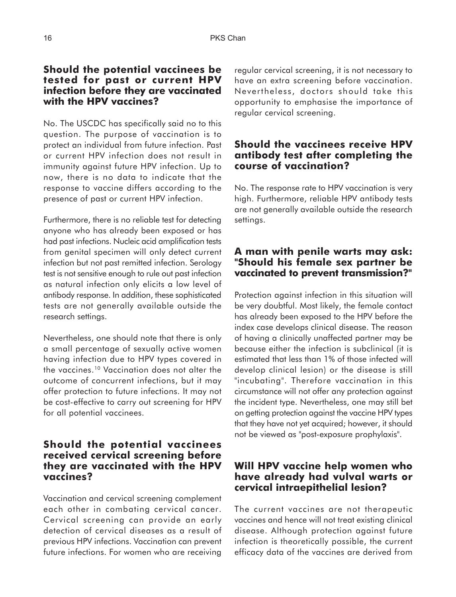#### **Should the potential vaccinees be tested for past or current HPV infection before they are vaccinated with the HPV vaccines?**

No. The USCDC has specifically said no to this question. The purpose of vaccination is to protect an individual from future infection. Past or current HPV infection does not result in immunity against future HPV infection. Up to now, there is no data to indicate that the response to vaccine differs according to the presence of past or current HPV infection.

Furthermore, there is no reliable test for detecting anyone who has already been exposed or has had past infections. Nucleic acid amplification tests from genital specimen will only detect current infection but not past remitted infection. Serology test is not sensitive enough to rule out past infection as natural infection only elicits a low level of antibody response. In addition, these sophisticated tests are not generally available outside the research settings.

Nevertheless, one should note that there is only a small percentage of sexually active women having infection due to HPV types covered in the vaccines.10 Vaccination does not alter the outcome of concurrent infections, but it may offer protection to future infections. It may not be cost-effective to carry out screening for HPV for all potential vaccinees.

#### **Should the potential vaccinees received cervical screening before they are vaccinated with the HPV vaccines?**

Vaccination and cervical screening complement each other in combating cervical cancer. Cervical screening can provide an early detection of cervical diseases as a result of previous HPV infections. Vaccination can prevent future infections. For women who are receiving

regular cervical screening, it is not necessary to have an extra screening before vaccination. Nevertheless, doctors should take this opportunity to emphasise the importance of regular cervical screening.

#### **Should the vaccinees receive HPV antibody test after completing the course of vaccination?**

No. The response rate to HPV vaccination is very high. Furthermore, reliable HPV antibody tests are not generally available outside the research settings.

## **A man with penile warts may ask: "Should his female sex partner be vaccinated to prevent transmission?"**

Protection against infection in this situation will be very doubtful. Most likely, the female contact has already been exposed to the HPV before the index case develops clinical disease. The reason of having a clinically unaffected partner may be because either the infection is subclinical (it is estimated that less than 1% of those infected will develop clinical lesion) or the disease is still "incubating". Therefore vaccination in this circumstance will not offer any protection against the incident type. Nevertheless, one may still bet on getting protection against the vaccine HPV types that they have not yet acquired; however, it should not be viewed as "post-exposure prophylaxis".

## **Will HPV vaccine help women who have already had vulval warts or cervical intraepithelial lesion?**

The current vaccines are not therapeutic vaccines and hence will not treat existing clinical disease. Although protection against future infection is theoretically possible, the current efficacy data of the vaccines are derived from